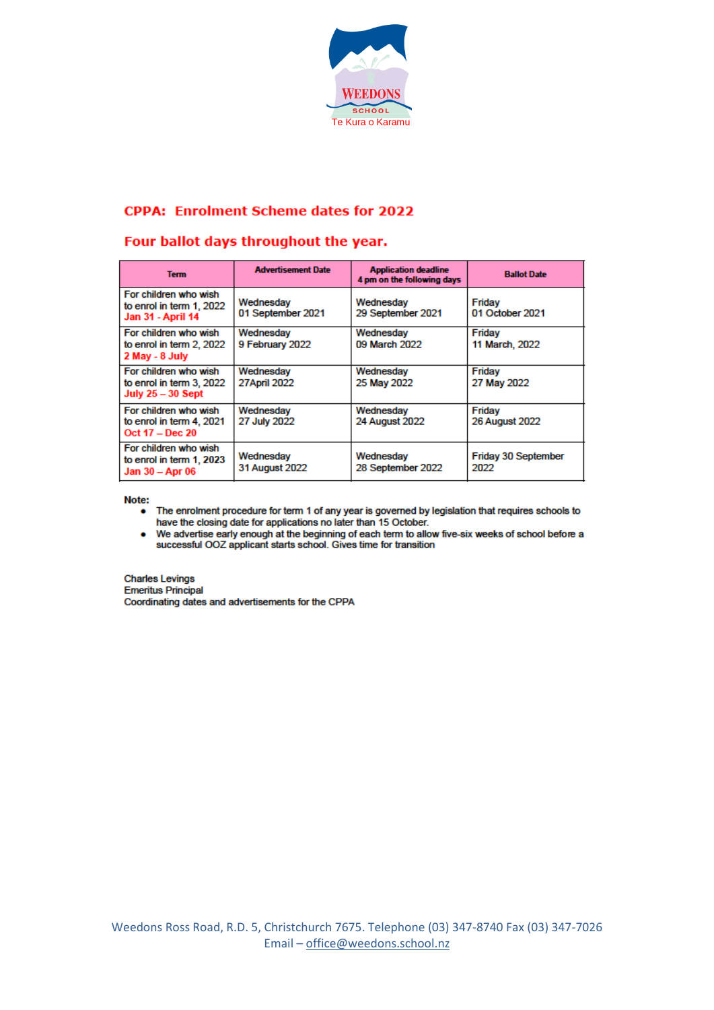

## **CPPA: Enrolment Scheme dates for 2022**

## Four ballot days throughout the year.

| <b>Term</b>                                                                   | <b>Advertisement Date</b>        | <b>Application deadline</b><br>4 pm on the following days | <b>Ballot Date</b>              |
|-------------------------------------------------------------------------------|----------------------------------|-----------------------------------------------------------|---------------------------------|
| For children who wish<br>to enrol in term 1, 2022<br><b>Jan 31 - April 14</b> | Wednesday<br>01 September 2021   | Wednesdav<br>29 September 2021                            | Friday<br>01 October 2021       |
| For children who wish<br>to enrol in term 2, 2022<br>2 May - 8 July           | Wednesday<br>9 February 2022     | Wednesdav<br>09 March 2022                                | Friday<br>11 March, 2022        |
| For children who wish<br>to enrol in term 3, 2022<br>July $25-30$ Sept        | Wednesday<br><b>27April 2022</b> | Wednesday<br>25 May 2022                                  | Friday<br>27 May 2022           |
| For children who wish<br>to enrol in term 4, 2021<br>Oct 17 - Dec 20          | Wednesday<br>27 July 2022        | Wednesday<br><b>24 August 2022</b>                        | Friday<br><b>26 August 2022</b> |
| For children who wish<br>to enrol in term 1, 2023<br>Jan 30 - Apr 06          | Wednesday<br>31 August 2022      | Wednesday<br>28 September 2022                            | Friday 30 September<br>2022     |

Note:

- The enrolment procedure for term 1 of any year is governed by legislation that requires schools to have the closing date for applications no later than 15 October.
- . We advertise early enough at the beginning of each term to allow five-six weeks of school before a successful OOZ applicant starts school. Gives time for transition

**Charles Levings Emeritus Principal** Coordinating dates and advertisements for the CPPA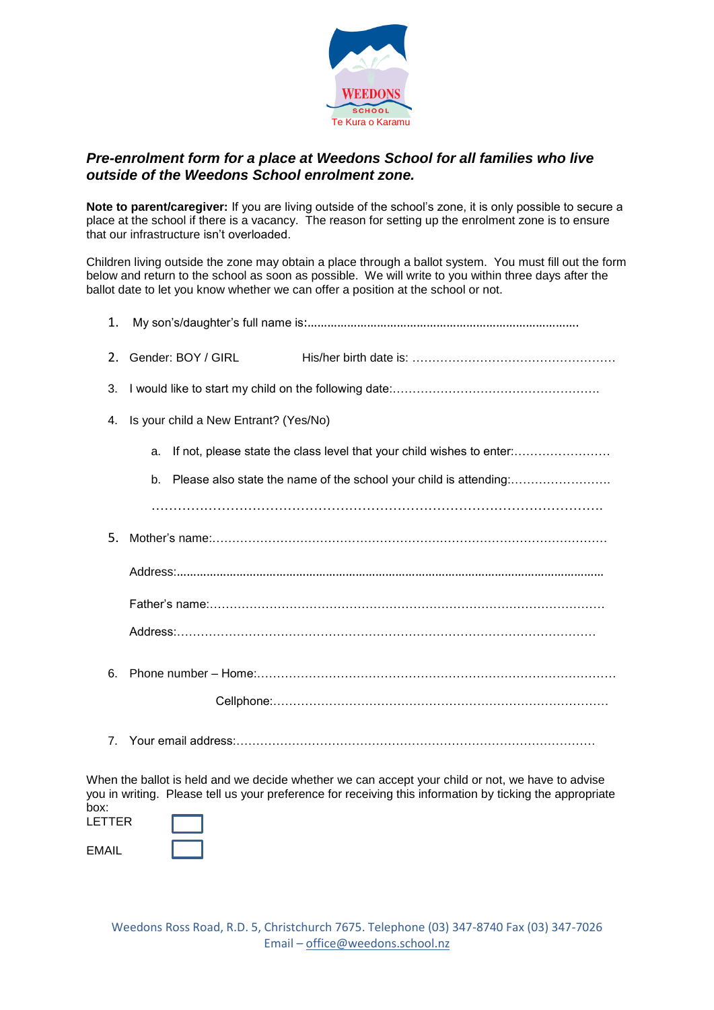

## *Pre-enrolment form for a place at Weedons School for all families who live outside of the Weedons School enrolment zone.*

**Note to parent/caregiver:** If you are living outside of the school's zone, it is only possible to secure a place at the school if there is a vacancy. The reason for setting up the enrolment zone is to ensure that our infrastructure isn't overloaded.

Children living outside the zone may obtain a place through a ballot system. You must fill out the form below and return to the school as soon as possible. We will write to you within three days after the ballot date to let you know whether we can offer a position at the school or not.

| 1.  |                                                                             |  |  |  |
|-----|-----------------------------------------------------------------------------|--|--|--|
| 2.  | Gender: BOY / GIRL                                                          |  |  |  |
| 3.  |                                                                             |  |  |  |
| 4.  | Is your child a New Entrant? (Yes/No)                                       |  |  |  |
|     | If not, please state the class level that your child wishes to enter:<br>a. |  |  |  |
|     | b.                                                                          |  |  |  |
|     |                                                                             |  |  |  |
| .5. |                                                                             |  |  |  |
|     |                                                                             |  |  |  |
|     |                                                                             |  |  |  |
|     |                                                                             |  |  |  |
| 6.  |                                                                             |  |  |  |
|     |                                                                             |  |  |  |
|     |                                                                             |  |  |  |

When the ballot is held and we decide whether we can accept your child or not, we have to advise you in writing. Please tell us your preference for receiving this information by ticking the appropriate box:

| ------<br>LETTER |  |
|------------------|--|
| EMAIL            |  |

Weedons Ross Road, R.D. 5, Christchurch 7675. Telephone (03) 347-8740 Fax (03) 347-7026 Email – [office@weedons.school.nz](mailto:office@weedons.school.nz)